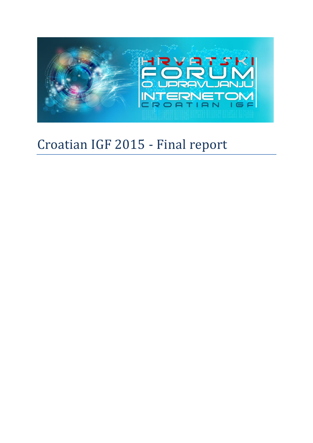

# Croatian IGF 2015 - Final report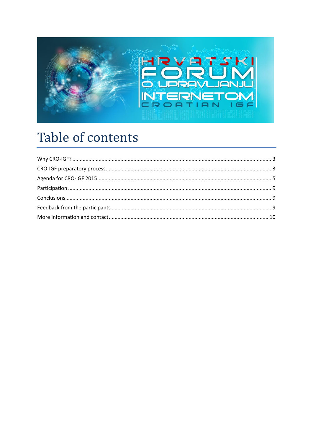

## Table of contents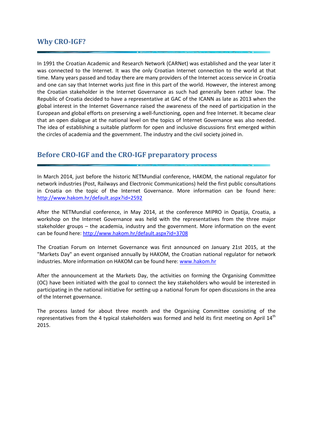## <span id="page-2-0"></span>**Why CRO-IGF?**

In 1991 the Croatian Academic and Research Network (CARNet) was established and the year later it was connected to the Internet. It was the only Croatian Internet connection to the world at that time. Many years passed and today there are many providers of the Internet access service in Croatia and one can say that Internet works just fine in this part of the world. However, the interest among the Croatian stakeholder in the Internet Governance as such had generally been rather low. The Republic of Croatia decided to have a representative at GAC of the ICANN as late as 2013 when the global interest in the Internet Governance raised the awareness of the need of participation in the European and global efforts on preserving a well-functioning, open and free Internet. It became clear that an open dialogue at the national level on the topics of Internet Governance was also needed. The idea of establishing a suitable platform for open and inclusive discussions first emerged within the circles of academia and the government. The industry and the civil society joined in.

## <span id="page-2-1"></span>**Before CRO-IGF and the CRO-IGF preparatory process**

In March 2014, just before the historic NETMundial conference, HAKOM, the national regulator for network industries (Post, Railways and Electronic Communications) held the first public consultations in Croatia on the topic of the Internet Governance. More information can be found here: <http://www.hakom.hr/default.aspx?id=2592>

After the NETMundial conference, in May 2014, at the conference MIPRO in Opatija, Croatia, a workshop on the Internet Governance was held with the representatives from the three major stakeholder groups – the academia, industry and the government. More information on the event can be found here:<http://www.hakom.hr/default.aspx?id=3708>

The Croatian Forum on Internet Governance was first announced on January 21st 2015, at the "Markets Day" an event organised annually by HAKOM, the Croatian national regulator for network industries. More information on HAKOM can be found here: [www.hakom.hr](http://www.hakom.hr/)

After the announcement at the Markets Day, the activities on forming the Organising Committee (OC) have been initiated with the goal to connect the key stakeholders who would be interested in participating in the national initiative for setting-up a national forum for open discussions in the area of the Internet governance.

The process lasted for about three month and the Organising Committee consisting of the representatives from the 4 typical stakeholders was formed and held its first meeting on April  $14<sup>th</sup>$ 2015.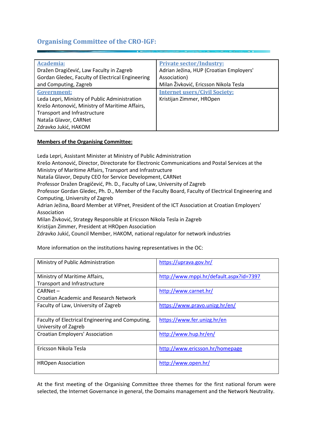## **Organising Committee of the CRO-IGF:**

| <b>Academia:</b>                                 | <b>Private sector/Industry:</b>         |
|--------------------------------------------------|-----------------------------------------|
| Dražen Dragičević, Law Faculty in Zagreb         | Adrian Ježina, HUP (Croatian Employers' |
| Gordan Gledec, Faculty of Electrical Engineering | Association)                            |
| and Computing, Zagreb                            | Milan Živković, Ericsson Nikola Tesla   |
| <b>Government:</b>                               | <b>Internet users/Civil Society:</b>    |
| Leda Lepri, Ministry of Public Administration    | Kristijan Zimmer, HROpen                |
| Krešo Antonović, Ministry of Maritime Affairs,   |                                         |
| Transport and Infrastructure                     |                                         |
| Nataša Glavor, CARNet                            |                                         |
| Zdravko Jukić, HAKOM                             |                                         |
|                                                  |                                         |

#### **Members of the Organising Committee:**

Leda Lepri, Assistant Minister at Ministry of Public Administration

Krešo Antonović, Director, Directorate for Electronic Communications and Postal Services at the Ministry of Maritime Affairs, Transport and Infrastructure

Nataša Glavor, Deputy CEO for Service Development, CARNet

Professor Dražen Dragičević, Ph. D., Faculty of Law, University of Zagreb

Professor Gordan Gledec, Ph. D., Member of the Faculty Board, Faculty of Electrical Engineering and Computing, University of Zagreb

Adrian Ježina, Board Member at VIPnet, President of the ICT Association at Croatian Employers' Association

Milan Živković, Strategy Responsible at Ericsson Nikola Tesla in Zagreb

Kristijan Zimmer, President at HROpen Association

Zdravko Jukić, Council Member, HAKOM, national regulator for network industries

More information on the institutions having representatives in the OC:

| Ministry of Public Administration                | https://uprava.gov.hr/                  |
|--------------------------------------------------|-----------------------------------------|
| Ministry of Maritime Affairs,                    | http://www.mppi.hr/default.aspx?id=7397 |
| <b>Transport and Infrastructure</b>              |                                         |
| CARNet –                                         | http://www.carnet.hr/                   |
| Croatian Academic and Research Network           |                                         |
| Faculty of Law, University of Zagreb             | https://www.pravo.unizg.hr/en/          |
|                                                  |                                         |
|                                                  |                                         |
| Faculty of Electrical Engineering and Computing, | https://www.fer.unizg.hr/en             |
| University of Zagreb                             |                                         |
| <b>Croatian Employers' Association</b>           | http://www.hup.hr/en/                   |
|                                                  |                                         |
| Fricsson Nikola Tesla                            | http://www.ericsson.hr/homepage         |
|                                                  |                                         |
| <b>HROpen Association</b>                        | http://www.open.hr/                     |

At the first meeting of the Organising Committee three themes for the first national forum were selected, the Internet Governance in general, the Domains management and the Network Neutrality.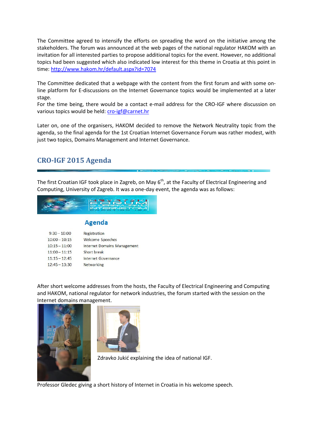The Committee agreed to intensify the efforts on spreading the word on the initiative among the stakeholders. The forum was announced at the web pages of the national regulator HAKOM with an invitation for all interested parties to propose additional topics for the event. However, no additional topics had been suggested which also indicated low interest for this theme in Croatia at this point in time[: http://www.hakom.hr/default.aspx?id=7074](http://www.hakom.hr/default.aspx?id=7074)

The Committee dedicated that a webpage with the content from the first forum and with some online platform for E-discussions on the Internet Governance topics would be implemented at a later stage.

For the time being, there would be a contact e-mail address for the CRO-IGF where discussion on various topics would be held: [cro-igf@carnet.hr](mailto:cro-igf@carnet.hr)

Later on, one of the organisers, HAKOM decided to remove the Network Neutrality topic from the agenda, so the final agenda for the 1st Croatian Internet Governance Forum was rather modest, with just two topics, Domains Management and Internet Governance.

## <span id="page-4-0"></span>**CRO-IGF 2015 Agenda**

The first Croatian IGF took place in Zagreb, on May  $6<sup>th</sup>$ , at the Faculty of Electrical Engineering and Computing, University of Zagreb. It was a one-day event, the agenda was as follows:



## **Agenda**

| $9:30 - 10:00$  | Registration                       |
|-----------------|------------------------------------|
| $10:00 - 10:15$ | <b>Welcome Speeches</b>            |
| $10:15 - 11:00$ | <b>Internet Domains Management</b> |
| $11:00 - 11:15$ | Short break                        |
| $11:15 - 12:45$ | Internet Governance                |
| $12:45 - 13:30$ | <b>Networking</b>                  |

After short welcome addresses from the hosts, the Faculty of Electrical Engineering and Computing and HAKOM, national regulator for network industries, the forum started with the session on the Internet domains management.





Zdravko Jukić explaining the idea of national IGF.

Professor Gledec giving a short history of Internet in Croatia in his welcome speech.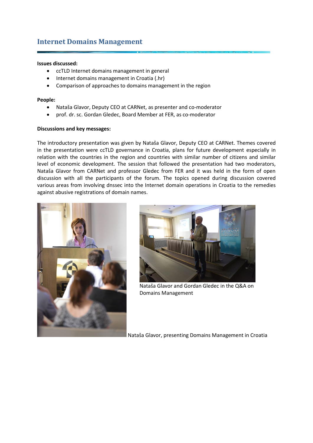## **Internet Domains Management**

#### **Issues discussed:**

- ccTLD Internet domains management in general
- Internet domains management in Croatia (.hr)
- Comparison of approaches to domains management in the region

#### **People:**

- Nataša Glavor, Deputy CEO at CARNet, as presenter and co-moderator
- prof. dr. sc. Gordan Gledec, Board Member at FER, as co-moderator

#### **Discussions and key messages:**

The introductory presentation was given by Nataša Glavor, Deputy CEO at CARNet. Themes covered in the presentation were ccTLD governance in Croatia, plans for future development especially in relation with the countries in the region and countries with similar number of citizens and similar level of economic development. The session that followed the presentation had two moderators, Nataša Glavor from CARNet and professor Gledec from FER and it was held in the form of open discussion with all the participants of the forum. The topics opened during discussion covered various areas from involving dnssec into the Internet domain operations in Croatia to the remedies against abusive registrations of domain names.





Nataša Glavor and Gordan Gledec in the Q&A on Domains Management

Nataša Glavor, presenting Domains Management in Croatia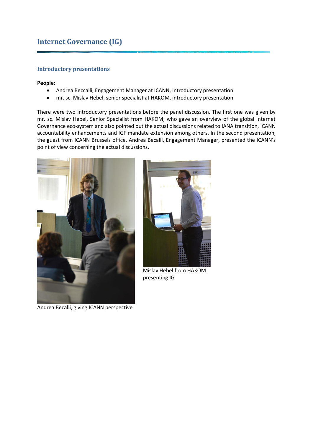## **Internet Governance (IG)**

#### **Introductory presentations**

#### **People:**

- Andrea Beccalli, Engagement Manager at ICANN, introductory presentation
- mr. sc. Mislav Hebel, senior specialist at HAKOM, introductory presentation

There were two introductory presentations before the panel discussion. The first one was given by mr. sc. Mislav Hebel, Senior Specialist from HAKOM, who gave an overview of the global Internet Governance eco-system and also pointed out the actual discussions related to IANA transition, ICANN accountability enhancements and IGF mandate extension among others. In the second presentation, the guest from ICANN Brussels office, Andrea Becalli, Engagement Manager, presented the ICANN's point of view concerning the actual discussions.



Andrea Becalli, giving ICANN perspective



Mislav Hebel from HAKOM presenting IG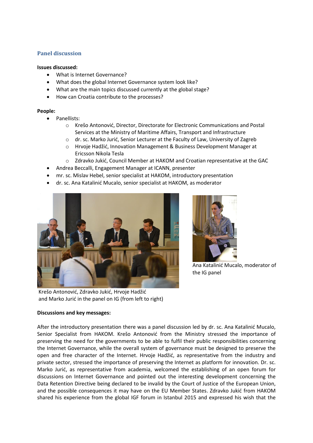#### **Panel discussion**

#### **Issues discussed:**

- What is Internet Governance?
- What does the global Internet Governance system look like?
- What are the main topics discussed currently at the global stage?
- How can Croatia contribute to the processes?

#### **People:**

- Panellists:
	- o Krešo Antonović, Director, Directorate for Electronic Communications and Postal Services at the Ministry of Maritime Affairs, Transport and Infrastructure
	- o dr. sc. Marko Jurić, Senior Lecturer at the Faculty of Law, University of Zagreb
	- o Hrvoje Hadžić, Innovation Management & Business Development Manager at Ericsson Nikola Tesla
	- o Zdravko Jukić, Council Member at HAKOM and Croatian representative at the GAC
- Andrea Beccalli, Engagement Manager at ICANN, presenter
- mr. sc. Mislav Hebel, senior specialist at HAKOM, introductory presentation
- dr. sc. Ana Katalinić Mucalo, senior specialist at HAKOM, as moderator





Ana Katalinić Mucalo, moderator of the IG panel

Krešo Antonović, Zdravko Jukić, Hrvoje Hadžić and Marko Jurić in the panel on IG (from left to right)

#### **Discussions and key messages:**

After the introductory presentation there was a panel discussion led by dr. sc. Ana Katalinić Mucalo, Senior Specialist from HAKOM. Krešo Antonović from the Ministry stressed the importance of preserving the need for the governments to be able to fulfil their public responsibilities concerning the Internet Governance, while the overall system of governance must be designed to preserve the open and free character of the Internet. Hrvoje Hadžić, as representative from the industry and private sector, stressed the importance of preserving the Internet as platform for innovation. Dr. sc. Marko Jurić, as representative from academia, welcomed the establishing of an open forum for discussions on Internet Governance and pointed out the interesting development concerning the Data Retention Directive being declared to be invalid by the Court of Justice of the European Union, and the possible consequences it may have on the EU Member States. Zdravko Jukić from HAKOM shared his experience from the global IGF forum in Istanbul 2015 and expressed his wish that the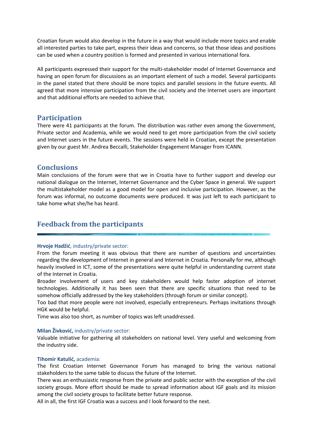Croatian forum would also develop in the future in a way that would include more topics and enable all interested parties to take part, express their ideas and concerns, so that those ideas and positions can be used when a country position is formed and presented in various international fora.

All participants expressed their support for the multi-stakeholder model of Internet Governance and having an open forum for discussions as an important element of such a model. Several participants in the panel stated that there should be more topics and parallel sessions in the future events. All agreed that more intensive participation from the civil society and the Internet users are important and that additional efforts are needed to achieve that.

## <span id="page-8-0"></span>**Participation**

There were 41 participants at the forum. The distribution was rather even among the Government, Private sector and Academia, while we would need to get more participation from the civil society and Internet users in the future events. The sessions were held in Croatian, except the presentation given by our guest Mr. Andrea Beccalli, Stakeholder Engagement Manager from ICANN.

## <span id="page-8-1"></span>**Conclusions**

Main conclusions of the forum were that we in Croatia have to further support and develop our national dialogue on the Internet, Internet Governance and the Cyber Space in general. We support the multistakeholder model as a good model for open and inclusive participation. However, as the forum was informal, no outcome documents were produced. It was just left to each participant to take home what she/he has heard.

## <span id="page-8-2"></span>**Feedback from the participants**

#### **Hrvoje Hadžić**, industry/private sector:

From the forum meeting it was obvious that there are number of questions and uncertainties regarding the development of Internet in general and Internet in Croatia. Personally for me, although heavily involved in ICT, some of the presentations were quite helpful in understanding current state of the Internet in Croatia.

Broader involvement of users and key stakeholders would help faster adoption of internet technologies. Additionally it has been seen that there are specific situations that need to be somehow officially addressed by the key stakeholders (through forum or similar concept).

Too bad that more people were not involved, especially entrepreneurs. Perhaps invitations through HGK would be helpful.

Time was also too short, as number of topics was left unaddressed.

#### **Milan Živković,** industry/private sector:

Valuable initiative for gathering all stakeholders on national level. Very useful and welcoming from the industry side.

#### **Tihomir Katulić,** academia:

The first Croatian Internet Governance Forum has managed to bring the various national stakeholders to the same table to discuss the future of the Internet.

There was an enthusiastic response from the private and public sector with the exception of the civil society groups. More effort should be made to spread information about IGF goals and its mission among the civil society groups to facilitate better future response.

All in all, the first IGF Croatia was a success and I look forward to the next.